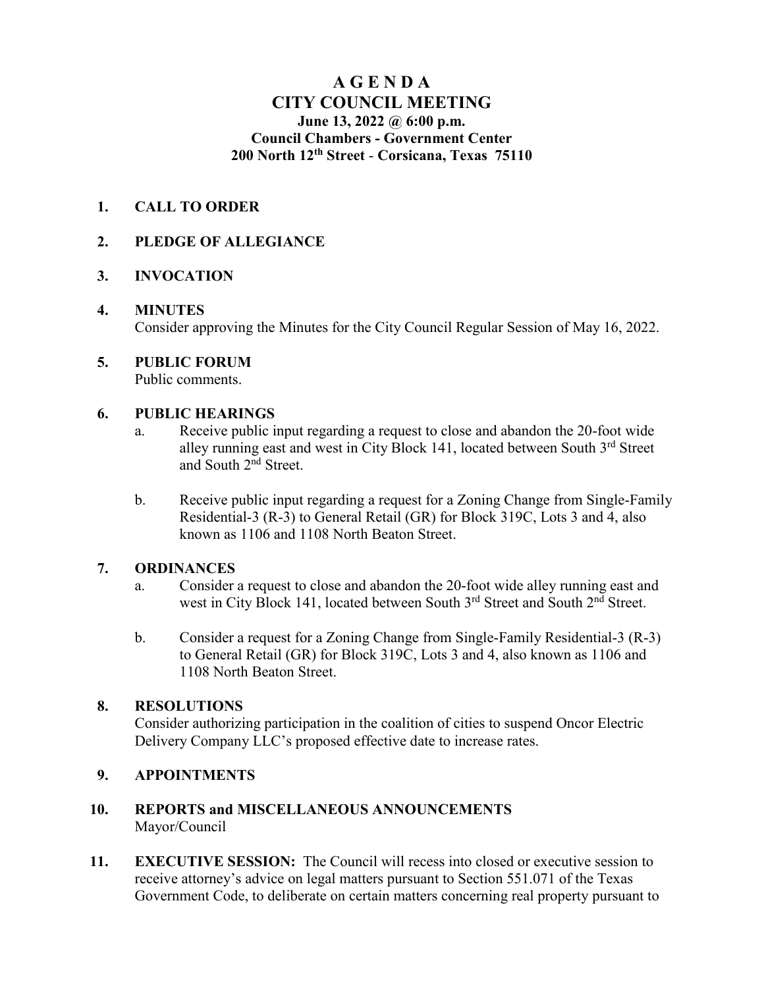# **A G E N D A CITY COUNCIL MEETING June 13, 2022 @ 6:00 p.m. Council Chambers - Government Center 200 North 12th Street** - **Corsicana, Texas 75110**

# **1. CALL TO ORDER**

# **2. PLEDGE OF ALLEGIANCE**

# **3. INVOCATION**

#### **4. MINUTES**

Consider approving the Minutes for the City Council Regular Session of May 16, 2022.

# **5. PUBLIC FORUM**

Public comments.

#### **6. PUBLIC HEARINGS**

- a. Receive public input regarding a request to close and abandon the 20-foot wide alley running east and west in City Block 141, located between South 3<sup>rd</sup> Street and South 2nd Street.
- b. Receive public input regarding a request for a Zoning Change from Single-Family Residential-3 (R-3) to General Retail (GR) for Block 319C, Lots 3 and 4, also known as 1106 and 1108 North Beaton Street.

# **7. ORDINANCES**

- a. Consider a request to close and abandon the 20-foot wide alley running east and west in City Block 141, located between South 3<sup>rd</sup> Street and South 2<sup>nd</sup> Street.
- b. Consider a request for a Zoning Change from Single-Family Residential-3 (R-3) to General Retail (GR) for Block 319C, Lots 3 and 4, also known as 1106 and 1108 North Beaton Street.

# **8. RESOLUTIONS**

Consider authorizing participation in the coalition of cities to suspend Oncor Electric Delivery Company LLC's proposed effective date to increase rates.

# **9. APPOINTMENTS**

#### **10. REPORTS and MISCELLANEOUS ANNOUNCEMENTS** Mayor/Council

**11. EXECUTIVE SESSION:** The Council will recess into closed or executive session to receive attorney's advice on legal matters pursuant to Section 551.071 of the Texas Government Code, to deliberate on certain matters concerning real property pursuant to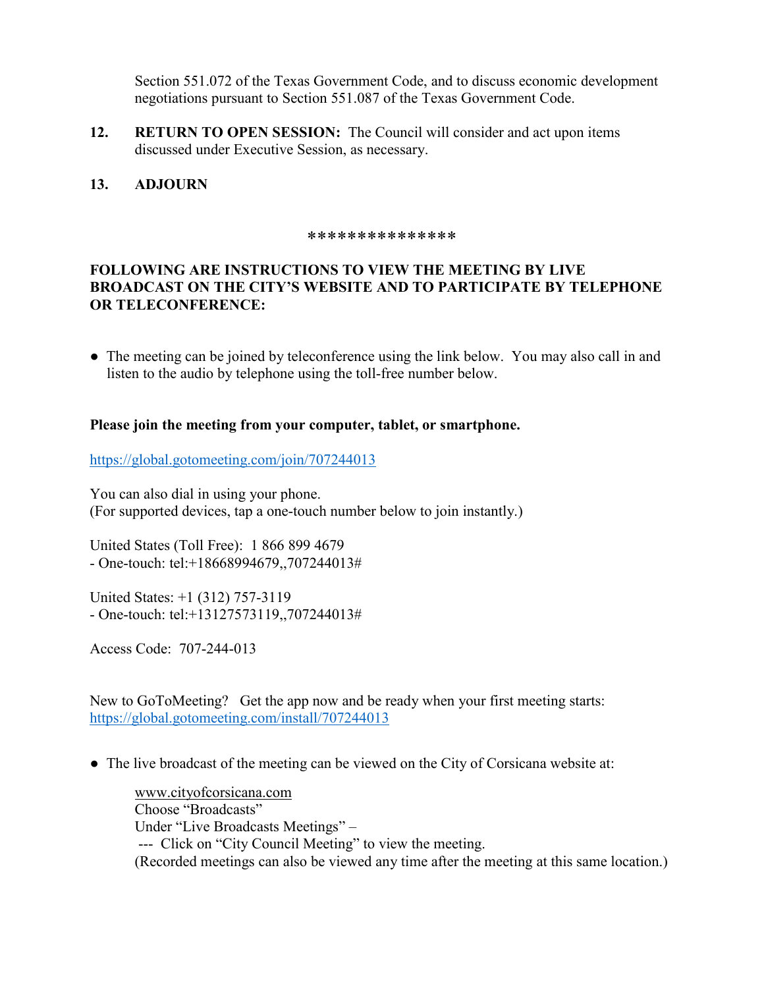Section 551.072 of the Texas Government Code, and to discuss economic development negotiations pursuant to Section 551.087 of the Texas Government Code.

**12. RETURN TO OPEN SESSION:** The Council will consider and act upon items discussed under Executive Session, as necessary.

#### **13. ADJOURN**

#### \*\*\*\*\*\*\*\*\*\*\*\*\*\*\*

# **FOLLOWING ARE INSTRUCTIONS TO VIEW THE MEETING BY LIVE BROADCAST ON THE CITY'S WEBSITE AND TO PARTICIPATE BY TELEPHONE OR TELECONFERENCE:**

• The meeting can be joined by teleconference using the link below. You may also call in and listen to the audio by telephone using the toll-free number below.

#### **Please join the meeting from your computer, tablet, or smartphone.**

<https://global.gotomeeting.com/join/707244013>

You can also dial in using your phone. (For supported devices, tap a one-touch number below to join instantly.)

United States (Toll Free): 1 866 899 4679 - One-touch: tel:+18668994679,,707244013#

United States: +1 (312) 757-3119 - One-touch: tel:+13127573119,,707244013#

Access Code: 707-244-013

New to GoToMeeting? Get the app now and be ready when your first meeting starts: <https://global.gotomeeting.com/install/707244013>

• The live broadcast of the meeting can be viewed on the City of Corsicana website at:

[www.cityofcorsicana.com](http://www.cityofcorsicana.com/) Choose "Broadcasts" Under "Live Broadcasts Meetings" – --- Click on "City Council Meeting" to view the meeting. (Recorded meetings can also be viewed any time after the meeting at this same location.)